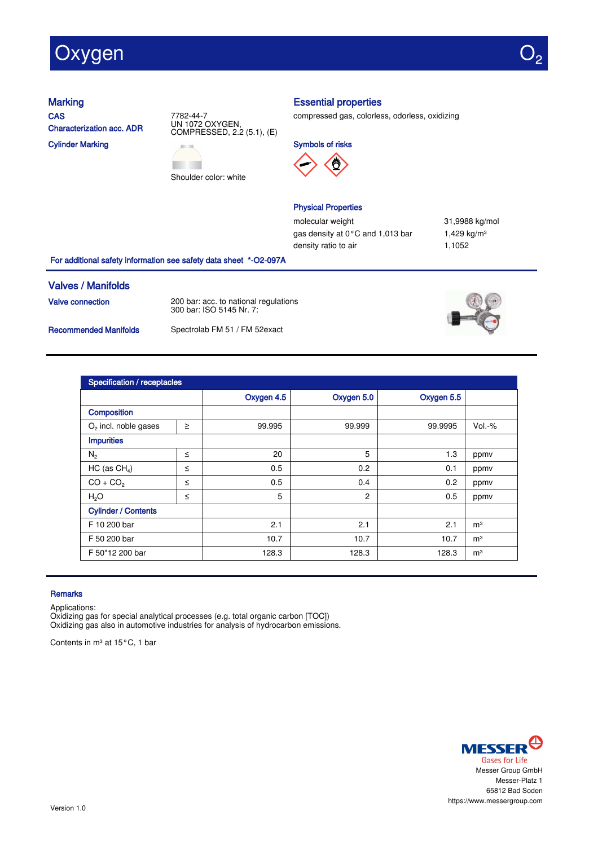# )xygen

**CAS** Characterization acc. ADR

Cylinder Marking





### Marking **Essential properties**

compressed gas, colorless, odorless, oxidizing

Symbols of risks



### Physical Properties

molecular weight 31,9988 kg/mol gas density at 0°C and 1,013 bar 1,429 kg/m<sup>3</sup> density ratio to air 1,1052

For additional safety information see safety data sheet \*-O2-097A

### Valves / Manifolds

**Valve connection** 200 bar: acc. to national regulations 300 bar: ISO 5145 Nr. 7:

Recommended Manifolds Spectrolab FM 51 / FM 52exact



| Specification / receptacles      |        |            |                |                        |                |
|----------------------------------|--------|------------|----------------|------------------------|----------------|
|                                  |        | Oxygen 4.5 | Oxygen 5.0     | Oxygen 5.5             |                |
| <b>Composition</b>               |        |            |                |                        |                |
| O <sub>2</sub> incl. noble gases | $\geq$ | 99.995     | 99.999         | 99.9995                | $Vol.-%$       |
| <b>Impurities</b>                |        |            |                |                        |                |
| $N_{2}$                          | $\leq$ | 20         | 5              | 1.3                    | ppmy           |
| HC (as $CH4$ )                   | $\leq$ | 0.5        | 0.2            | 0.1                    | ppmy           |
| $CO + CO2$                       | $\leq$ | 0.5        | 0.4            | 0.2                    | ppmv           |
| H <sub>2</sub> O                 | $\leq$ | 5          | $\overline{c}$ | 0.5                    | ppmv           |
| <b>Cylinder / Contents</b>       |        |            |                |                        |                |
| F 10 200 bar                     |        | 2.1        | 2.1            | 2.1                    | m <sup>3</sup> |
| F 50 200 bar                     |        | 10.7       | 10.7           | 10.7<br>m <sup>3</sup> |                |
| F 50*12 200 bar                  |        | 128.3      | 128.3          | 128.3                  | m <sup>3</sup> |

### **Remarks**

Applications:

Oxidizing gas for special analytical processes (e.g. total organic carbon [TOC]) Oxidizing gas also in automotive industries for analysis of hydrocarbon emissions.

Contents in m<sup>3</sup> at 15°C, 1 bar